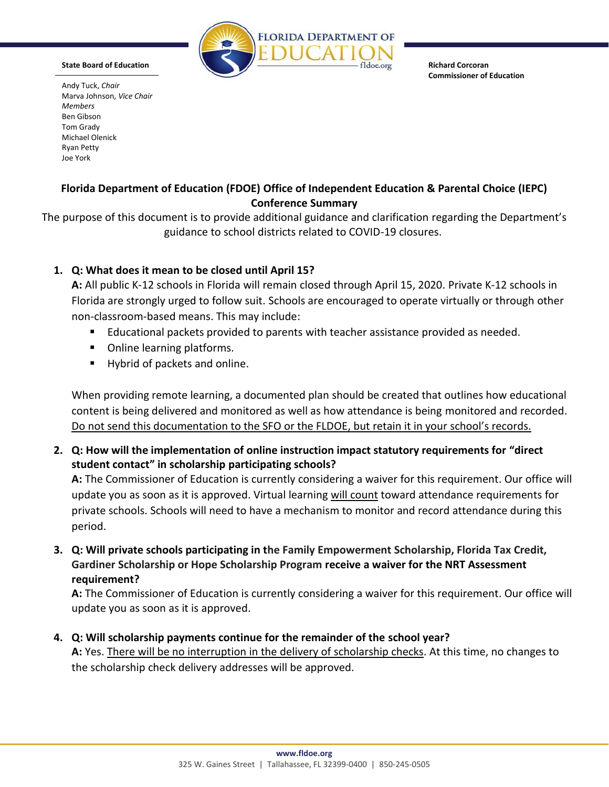

**State Board of Education**

Andy Tuck, *Chair*

**Richard Corcoran Commissioner of Education**

Marva Johnson, *Vice Chair Members* Ben Gibson Tom Grady Michael Olenick Ryan Petty Joe York

## **Florida Department of Education (FDOE) Office of Independent Education & Parental Choice (IEPC) Conference Summary**

The purpose of this document is to provide additional guidance and clarification regarding the Department's guidance to school districts related to COVID-19 closures.

## **1. Q: What does it mean to be closed until April 15?**

**A:** All public K-12 schools in Florida will remain closed through April 15, 2020. Private K-12 schools in Florida are strongly urged to follow suit. Schools are encouraged to operate virtually or through other non-classroom-based means. This may include:

- **E** Educational packets provided to parents with teacher assistance provided as needed.
- Online learning platforms.
- Hybrid of packets and online.

When providing remote learning, a documented plan should be created that outlines how educational content is being delivered and monitored as well as how attendance is being monitored and recorded. Do not send this documentation to the SFO or the FLDOE, but retain it in your school's records.

**2. Q: How will the implementation of online instruction impact statutory requirements for "direct student contact" in scholarship participating schools?**

**A:** The Commissioner of Education is currently considering a waiver for this requirement. Our office will update you as soon as it is approved. Virtual learning will count toward attendance requirements for private schools. Schools will need to have a mechanism to monitor and record attendance during this period.

**3. Q: Will private schools participating in the Family Empowerment Scholarship, Florida Tax Credit, Gardiner Scholarship or Hope Scholarship Program receive a waiver for the NRT Assessment requirement?**

**A:** The Commissioner of Education is currently considering a waiver for this requirement. Our office will update you as soon as it is approved.

**4. Q: Will scholarship payments continue for the remainder of the school year?**

**A:** Yes. There will be no interruption in the delivery of scholarship checks. At this time, no changes to the scholarship check delivery addresses will be approved.